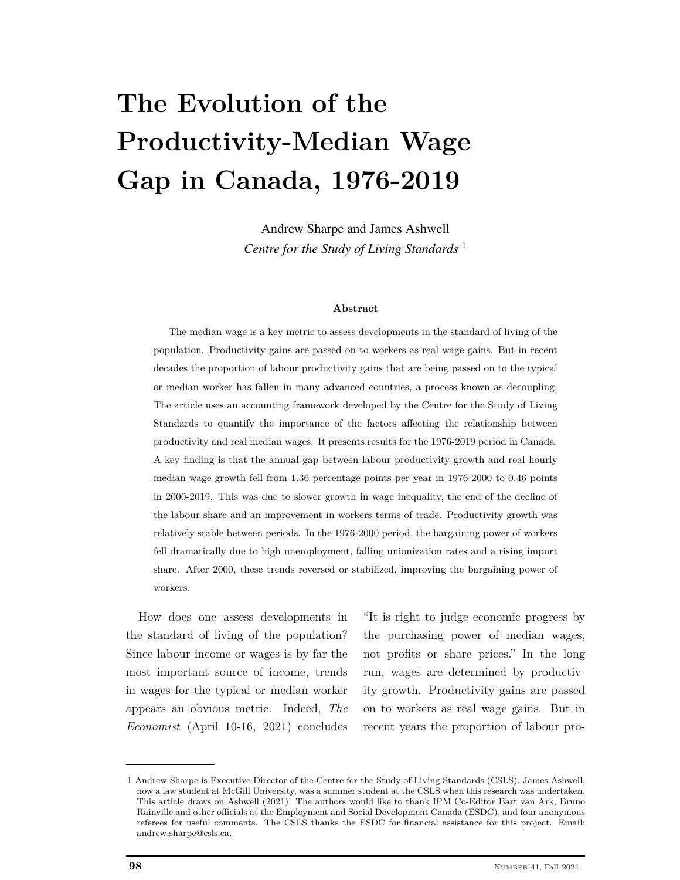# **The Evolution of the Productivity-Median Wage Gap in Canada, 1976-2019**

Andrew Sharpe and James Ashwell *Centre for the Study of Living Standards* <sup>1</sup>

#### **Abstract**

The median wage is a key metric to assess developments in the standard of living of the population. Productivity gains are passed on to workers as real wage gains. But in recent decades the proportion of labour productivity gains that are being passed on to the typical or median worker has fallen in many advanced countries, a process known as decoupling. The article uses an accounting framework developed by the Centre for the Study of Living Standards to quantify the importance of the factors affecting the relationship between productivity and real median wages. It presents results for the 1976-2019 period in Canada. A key finding is that the annual gap between labour productivity growth and real hourly median wage growth fell from 1.36 percentage points per year in 1976-2000 to 0.46 points in 2000-2019. This was due to slower growth in wage inequality, the end of the decline of the labour share and an improvement in workers terms of trade. Productivity growth was relatively stable between periods. In the 1976-2000 period, the bargaining power of workers fell dramatically due to high unemployment, falling unionization rates and a rising import share. After 2000, these trends reversed or stabilized, improving the bargaining power of workers.

How does one assess developments in the standard of living of the population? Since labour income or wages is by far the most important source of income, trends in wages for the typical or median worker appears an obvious metric. Indeed, *The Economist* (April 10-16, 2021) concludes

"It is right to judge economic progress by the purchasing power of median wages, not profits or share prices." In the long run, wages are determined by productivity growth. Productivity gains are passed on to workers as real wage gains. But in recent years the proportion of labour pro-

<sup>1</sup> Andrew Sharpe is Executive Director of the Centre for the Study of Living Standards (CSLS). James Ashwell, now a law student at McGill University, was a summer student at the CSLS when this research was undertaken. This article draws on Ashwell (2021). The authors would like to thank IPM Co-Editor Bart van Ark, Bruno Rainville and other officials at the Employment and Social Development Canada (ESDC), and four anonymous referees for useful comments. The CSLS thanks the ESDC for financial assistance for this project. Email: andrew.sharpe@csls.ca.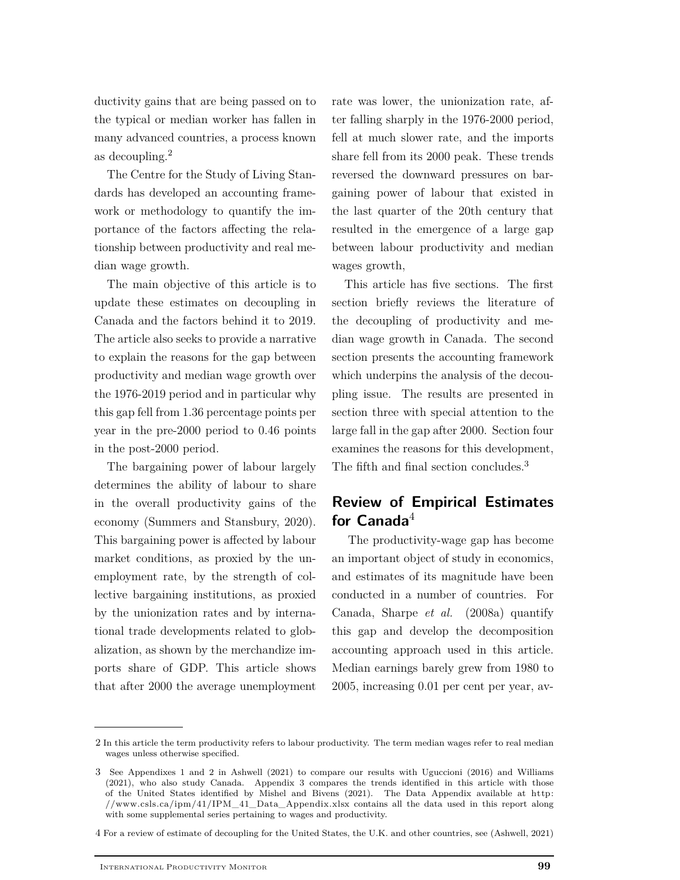ductivity gains that are being passed on to the typical or median worker has fallen in many advanced countries, a process known as decoupling.<sup>2</sup>

The Centre for the Study of Living Standards has developed an accounting framework or methodology to quantify the importance of the factors affecting the relationship between productivity and real median wage growth.

The main objective of this article is to update these estimates on decoupling in Canada and the factors behind it to 2019. The article also seeks to provide a narrative to explain the reasons for the gap between productivity and median wage growth over the 1976-2019 period and in particular why this gap fell from 1.36 percentage points per year in the pre-2000 period to 0.46 points in the post-2000 period.

The bargaining power of labour largely determines the ability of labour to share in the overall productivity gains of the economy (Summers and Stansbury, 2020). This bargaining power is affected by labour market conditions, as proxied by the unemployment rate, by the strength of collective bargaining institutions, as proxied by the unionization rates and by international trade developments related to globalization, as shown by the merchandize imports share of GDP. This article shows that after 2000 the average unemployment

rate was lower, the unionization rate, after falling sharply in the 1976-2000 period, fell at much slower rate, and the imports share fell from its 2000 peak. These trends reversed the downward pressures on bargaining power of labour that existed in the last quarter of the 20th century that resulted in the emergence of a large gap between labour productivity and median wages growth,

This article has five sections. The first section briefly reviews the literature of the decoupling of productivity and median wage growth in Canada. The second section presents the accounting framework which underpins the analysis of the decoupling issue. The results are presented in section three with special attention to the large fall in the gap after 2000. Section four examines the reasons for this development, The fifth and final section concludes.<sup>3</sup>

# **Review of Empirical Estimates** for Canada<sup>4</sup>

The productivity-wage gap has become an important object of study in economics, and estimates of its magnitude have been conducted in a number of countries. For Canada, Sharpe *et al.* (2008a) quantify this gap and develop the decomposition accounting approach used in this article. Median earnings barely grew from 1980 to 2005, increasing 0.01 per cent per year, av-

<sup>2</sup> In this article the term productivity refers to labour productivity. The term median wages refer to real median wages unless otherwise specified.

<sup>3</sup> See Appendixes 1 and 2 in Ashwell (2021) to compare our results with Uguccioni (2016) and Williams (2021), who also study Canada. Appendix 3 compares the trends identified in this article with those of the United States identified by Mishel and Bivens (2021). The Data Appendix available at http: //www.csls.ca/ipm/41/IPM\_41\_Data\_Appendix.xlsx contains all the data used in this report along with some supplemental series pertaining to wages and productivity.

<sup>4</sup> For a review of estimate of decoupling for the United States, the U.K. and other countries, see (Ashwell, 2021)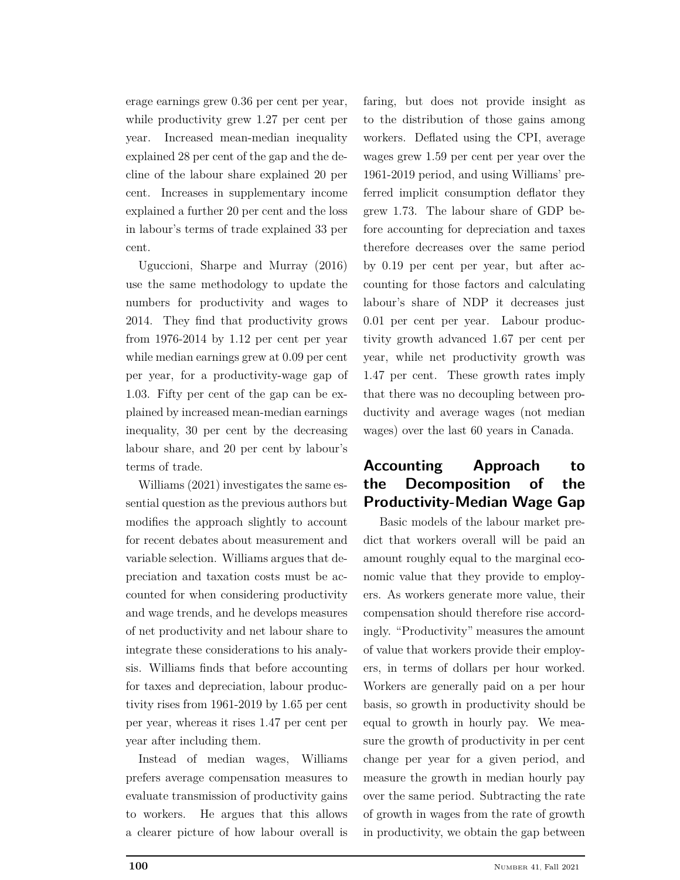erage earnings grew 0.36 per cent per year, while productivity grew 1.27 per cent per year. Increased mean-median inequality explained 28 per cent of the gap and the decline of the labour share explained 20 per cent. Increases in supplementary income explained a further 20 per cent and the loss in labour's terms of trade explained 33 per cent.

Uguccioni, Sharpe and Murray (2016) use the same methodology to update the numbers for productivity and wages to 2014. They find that productivity grows from 1976-2014 by 1.12 per cent per year while median earnings grew at 0.09 per cent per year, for a productivity-wage gap of 1.03. Fifty per cent of the gap can be explained by increased mean-median earnings inequality, 30 per cent by the decreasing labour share, and 20 per cent by labour's terms of trade.

Williams (2021) investigates the same essential question as the previous authors but modifies the approach slightly to account for recent debates about measurement and variable selection. Williams argues that depreciation and taxation costs must be accounted for when considering productivity and wage trends, and he develops measures of net productivity and net labour share to integrate these considerations to his analysis. Williams finds that before accounting for taxes and depreciation, labour productivity rises from 1961-2019 by 1.65 per cent per year, whereas it rises 1.47 per cent per year after including them.

Instead of median wages, Williams prefers average compensation measures to evaluate transmission of productivity gains to workers. He argues that this allows a clearer picture of how labour overall is

faring, but does not provide insight as to the distribution of those gains among workers. Deflated using the CPI, average wages grew 1.59 per cent per year over the 1961-2019 period, and using Williams' preferred implicit consumption deflator they grew 1.73. The labour share of GDP before accounting for depreciation and taxes therefore decreases over the same period by 0.19 per cent per year, but after accounting for those factors and calculating labour's share of NDP it decreases just 0.01 per cent per year. Labour productivity growth advanced 1.67 per cent per year, while net productivity growth was 1.47 per cent. These growth rates imply that there was no decoupling between productivity and average wages (not median wages) over the last 60 years in Canada.

# **Accounting Approach to the Decomposition of the Productivity-Median Wage Gap**

Basic models of the labour market predict that workers overall will be paid an amount roughly equal to the marginal economic value that they provide to employers. As workers generate more value, their compensation should therefore rise accordingly. "Productivity" measures the amount of value that workers provide their employers, in terms of dollars per hour worked. Workers are generally paid on a per hour basis, so growth in productivity should be equal to growth in hourly pay. We measure the growth of productivity in per cent change per year for a given period, and measure the growth in median hourly pay over the same period. Subtracting the rate of growth in wages from the rate of growth in productivity, we obtain the gap between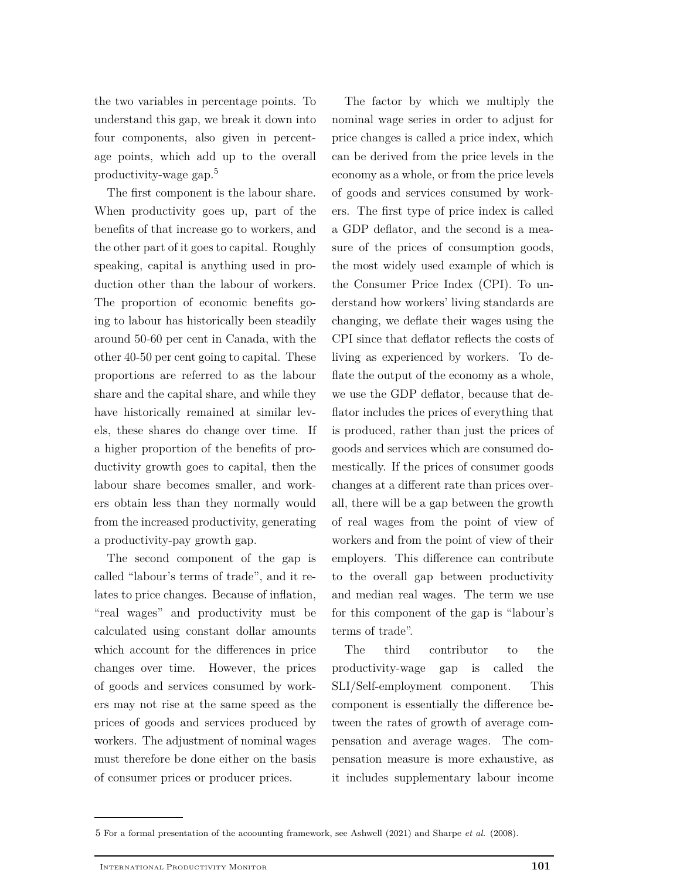the two variables in percentage points. To understand this gap, we break it down into four components, also given in percentage points, which add up to the overall productivity-wage gap.<sup>5</sup>

The first component is the labour share. When productivity goes up, part of the benefits of that increase go to workers, and the other part of it goes to capital. Roughly speaking, capital is anything used in production other than the labour of workers. The proportion of economic benefits going to labour has historically been steadily around 50-60 per cent in Canada, with the other 40-50 per cent going to capital. These proportions are referred to as the labour share and the capital share, and while they have historically remained at similar levels, these shares do change over time. If a higher proportion of the benefits of productivity growth goes to capital, then the labour share becomes smaller, and workers obtain less than they normally would from the increased productivity, generating a productivity-pay growth gap.

The second component of the gap is called "labour's terms of trade", and it relates to price changes. Because of inflation, "real wages" and productivity must be calculated using constant dollar amounts which account for the differences in price changes over time. However, the prices of goods and services consumed by workers may not rise at the same speed as the prices of goods and services produced by workers. The adjustment of nominal wages must therefore be done either on the basis of consumer prices or producer prices.

The factor by which we multiply the nominal wage series in order to adjust for price changes is called a price index, which can be derived from the price levels in the economy as a whole, or from the price levels of goods and services consumed by workers. The first type of price index is called a GDP deflator, and the second is a measure of the prices of consumption goods, the most widely used example of which is the Consumer Price Index (CPI). To understand how workers' living standards are changing, we deflate their wages using the CPI since that deflator reflects the costs of living as experienced by workers. To deflate the output of the economy as a whole, we use the GDP deflator, because that deflator includes the prices of everything that is produced, rather than just the prices of goods and services which are consumed domestically. If the prices of consumer goods changes at a different rate than prices overall, there will be a gap between the growth of real wages from the point of view of workers and from the point of view of their employers. This difference can contribute to the overall gap between productivity and median real wages. The term we use for this component of the gap is "labour's terms of trade".

The third contributor to the productivity-wage gap is called the SLI/Self-employment component. This component is essentially the difference between the rates of growth of average compensation and average wages. The compensation measure is more exhaustive, as it includes supplementary labour income

<sup>5</sup> For a formal presentation of the acoounting framework, see Ashwell (2021) and Sharpe *et al.* (2008).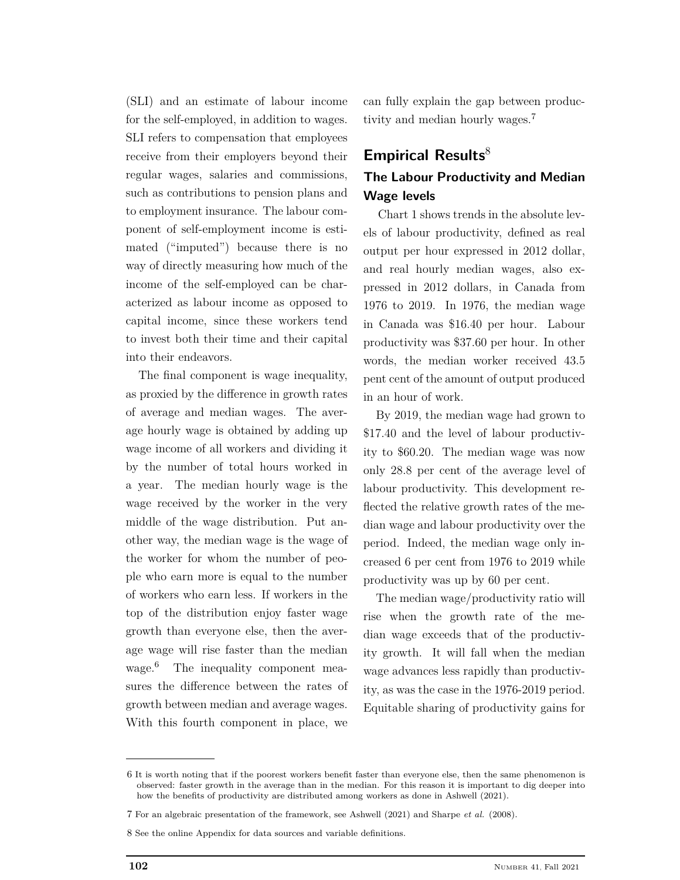(SLI) and an estimate of labour income for the self-employed, in addition to wages. SLI refers to compensation that employees receive from their employers beyond their regular wages, salaries and commissions, such as contributions to pension plans and to employment insurance. The labour component of self-employment income is estimated ("imputed") because there is no way of directly measuring how much of the income of the self-employed can be characterized as labour income as opposed to capital income, since these workers tend to invest both their time and their capital into their endeavors.

The final component is wage inequality, as proxied by the difference in growth rates of average and median wages. The average hourly wage is obtained by adding up wage income of all workers and dividing it by the number of total hours worked in a year. The median hourly wage is the wage received by the worker in the very middle of the wage distribution. Put another way, the median wage is the wage of the worker for whom the number of people who earn more is equal to the number of workers who earn less. If workers in the top of the distribution enjoy faster wage growth than everyone else, then the average wage will rise faster than the median wage.<sup>6</sup> The inequality component measures the difference between the rates of growth between median and average wages. With this fourth component in place, we

can fully explain the gap between productivity and median hourly wages.<sup>7</sup>

## **Empirical Results**<sup>8</sup>

## **The Labour Productivity and Median Wage levels**

Chart 1 shows trends in the absolute levels of labour productivity, defined as real output per hour expressed in 2012 dollar, and real hourly median wages, also expressed in 2012 dollars, in Canada from 1976 to 2019. In 1976, the median wage in Canada was \$16.40 per hour. Labour productivity was \$37.60 per hour. In other words, the median worker received 43.5 pent cent of the amount of output produced in an hour of work.

By 2019, the median wage had grown to \$17.40 and the level of labour productivity to \$60.20. The median wage was now only 28.8 per cent of the average level of labour productivity. This development reflected the relative growth rates of the median wage and labour productivity over the period. Indeed, the median wage only increased 6 per cent from 1976 to 2019 while productivity was up by 60 per cent.

The median wage/productivity ratio will rise when the growth rate of the median wage exceeds that of the productivity growth. It will fall when the median wage advances less rapidly than productivity, as was the case in the 1976-2019 period. Equitable sharing of productivity gains for

<sup>6</sup> It is worth noting that if the poorest workers benefit faster than everyone else, then the same phenomenon is observed: faster growth in the average than in the median. For this reason it is important to dig deeper into how the benefits of productivity are distributed among workers as done in Ashwell (2021).

<sup>7</sup> For an algebraic presentation of the framework, see Ashwell (2021) and Sharpe *et al.* (2008).

<sup>8</sup> See the online Appendix for data sources and variable definitions.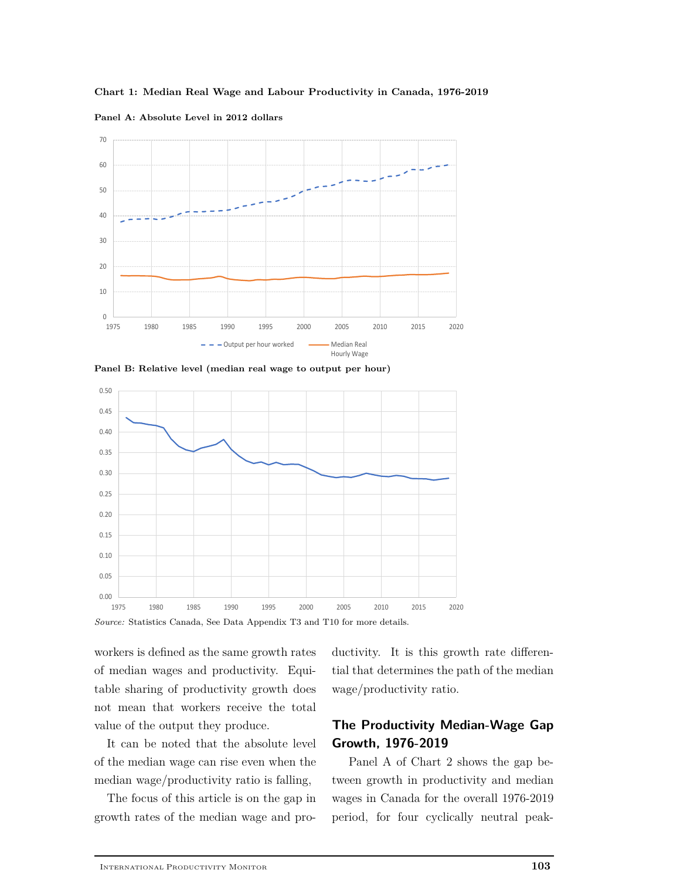



**Panel A: Absolute Level in 2012 dollars**





*Source:* Statistics Canada, See Data Appendix T3 and T10 for more details.

workers is defined as the same growth rates of median wages and productivity. Equitable sharing of productivity growth does not mean that workers receive the total value of the output they produce.

It can be noted that the absolute level of the median wage can rise even when the median wage/productivity ratio is falling,

The focus of this article is on the gap in growth rates of the median wage and productivity. It is this growth rate differential that determines the path of the median wage/productivity ratio.

## **The Productivity Median-Wage Gap Growth, 1976-2019**

Panel A of Chart 2 shows the gap between growth in productivity and median wages in Canada for the overall 1976-2019 period, for four cyclically neutral peak-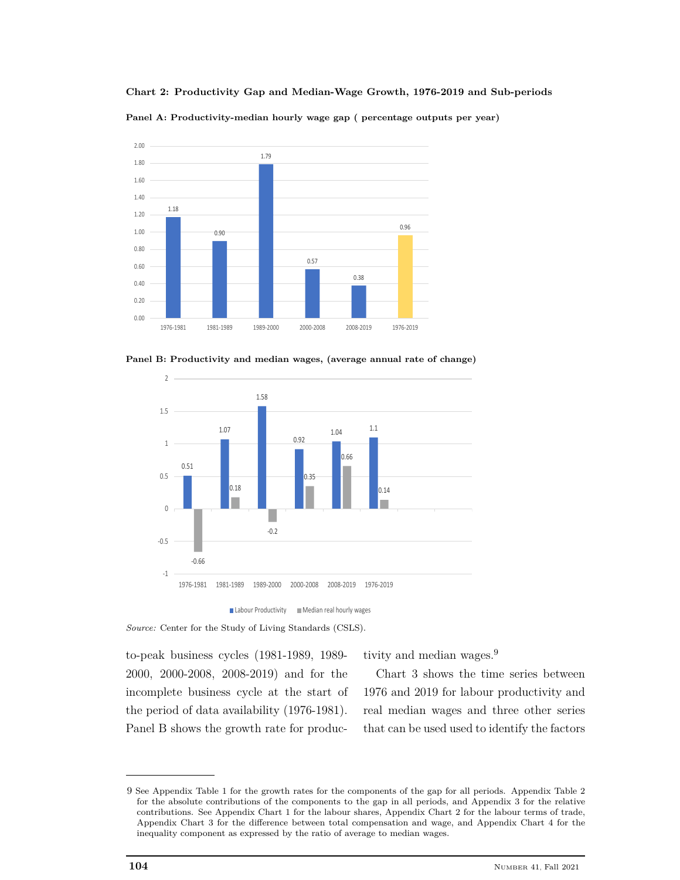**Chart 2: Productivity Gap and Median-Wage Growth, 1976-2019 and Sub-periods**

**Panel A: Productivity-median hourly wage gap ( percentage outputs per year)**



**Panel B: Productivity and median wages, (average annual rate of change)**





*Source:* Center for the Study of Living Standards (CSLS).

to-peak business cycles (1981-1989, 1989- 2000, 2000-2008, 2008-2019) and for the incomplete business cycle at the start of the period of data availability (1976-1981). Panel B shows the growth rate for productivity and median wages.<sup>9</sup>

Chart 3 shows the time series between 1976 and 2019 for labour productivity and real median wages and three other series that can be used used to identify the factors

<sup>9</sup> See Appendix Table 1 for the growth rates for the components of the gap for all periods. Appendix Table 2 for the absolute contributions of the components to the gap in all periods, and Appendix 3 for the relative contributions. See Appendix Chart 1 for the labour shares, Appendix Chart 2 for the labour terms of trade, Appendix Chart 3 for the difference between total compensation and wage, and Appendix Chart 4 for the inequality component as expressed by the ratio of average to median wages.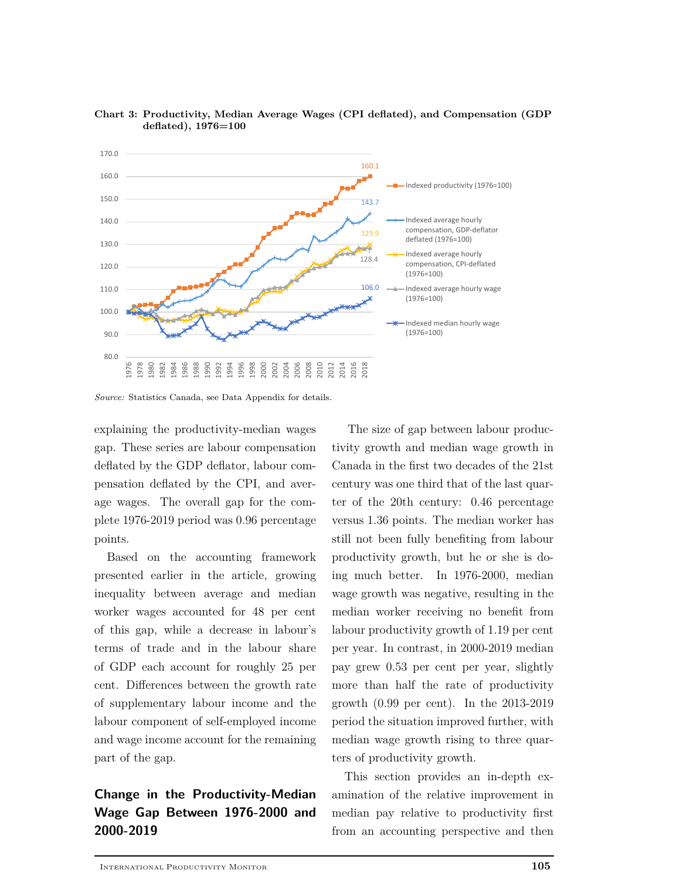



explaining the productivity-median wages gap. These series are labour compensation deflated by the GDP deflator, labour compensation deflated by the CPI, and average wages. The overall gap for the complete 1976-2019 period was 0.96 percentage points.

Based on the accounting framework presented earlier in the article, growing inequality between average and median worker wages accounted for 48 per cent of this gap, while a decrease in labour's terms of trade and in the labour share of GDP each account for roughly 25 per cent. Differences between the growth rate of supplementary labour income and the labour component of self-employed income and wage income account for the remaining part of the gap.

# **Change in the Productivity-Median Wage Gap Between 1976-2000 and 2000-2019**

The size of gap between labour productivity growth and median wage growth in Canada in the first two decades of the 21st century was one third that of the last quarter of the 20th century: 0.46 percentage versus 1.36 points. The median worker has still not been fully benefiting from labour productivity growth, but he or she is doing much better. In 1976-2000, median wage growth was negative, resulting in the median worker receiving no benefit from labour productivity growth of 1.19 per cent per year. In contrast, in 2000-2019 median pay grew 0.53 per cent per year, slightly more than half the rate of productivity growth (0.99 per cent). In the 2013-2019 period the situation improved further, with median wage growth rising to three quarters of productivity growth.

This section provides an in-depth examination of the relative improvement in median pay relative to productivity first from an accounting perspective and then

*Source:* Statistics Canada, see Data Appendix for details.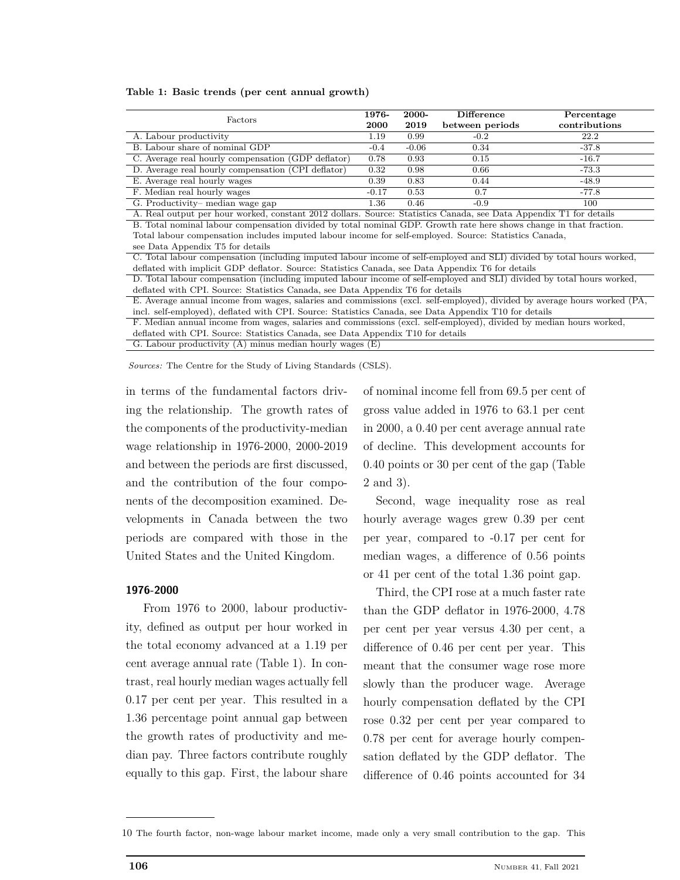|  |  | Table 1: Basic trends (per cent annual growth) |  |  |  |  |
|--|--|------------------------------------------------|--|--|--|--|
|--|--|------------------------------------------------|--|--|--|--|

| 1976-<br><b>2000</b> | 2000-<br>2019 | <b>Difference</b><br>between periods | Percentage<br>contributions |
|----------------------|---------------|--------------------------------------|-----------------------------|
| 1.19                 | 0.99          | $-0.2$                               | 22.2                        |
| $-0.4$               | $-0.06$       | 0.34                                 | $-37.8$                     |
| 0.78                 | 0.93          | 0.15                                 | $-16.7$                     |
| 0.32                 | 0.98          | 0.66                                 | $-73.3$                     |
| 0.39                 | 0.83          | 0.44                                 | $-48.9$                     |
| $-0.17$              | 0.53          | 0.7                                  | $-77.8$                     |
| $1.36\,$             | 0.46          | $-0.9$                               | 100                         |
|                      |               |                                      |                             |

A. Real output per hour worked, constant 2012 dollars. Source: Statistics Canada, see Data Appendix T1 for details B. Total nominal labour compensation divided by total nominal GDP. Growth rate here shows change in that fraction. Total labour compensation includes imputed labour income for self-employed. Source: Statistics Canada,

see Data Appendix T5 for details

C. Total labour compensation (including imputed labour income of self-employed and SLI) divided by total hours worked, deflated with implicit GDP deflator. Source: Statistics Canada, see Data Appendix T6 for details

D. Total labour compensation (including imputed labour income of self-employed and SLI) divided by total hours worked, deflated with CPI. Source: Statistics Canada, see Data Appendix T6 for details

E. Average annual income from wages, salaries and commissions (excl. self-employed), divided by average hours worked (PA, incl. self-employed), deflated with CPI. Source: Statistics Canada, see Data Appendix T10 for details F. Median annual income from wages, salaries and commissions (excl. self-employed), divided by median hours worked, deflated with CPI. Source: Statistics Canada, see Data Appendix T10 for details

G. Labour productivity (A) minus median hourly wages (E)

*Sources:* The Centre for the Study of Living Standards (CSLS).

in terms of the fundamental factors driving the relationship. The growth rates of the components of the productivity-median wage relationship in 1976-2000, 2000-2019 and between the periods are first discussed, and the contribution of the four components of the decomposition examined. Developments in Canada between the two periods are compared with those in the United States and the United Kingdom.

#### **1976-2000**

From 1976 to 2000, labour productivity, defined as output per hour worked in the total economy advanced at a 1.19 per cent average annual rate (Table 1). In contrast, real hourly median wages actually fell 0.17 per cent per year. This resulted in a 1.36 percentage point annual gap between the growth rates of productivity and median pay. Three factors contribute roughly equally to this gap. First, the labour share

of nominal income fell from 69.5 per cent of gross value added in 1976 to 63.1 per cent in 2000, a 0.40 per cent average annual rate of decline. This development accounts for 0.40 points or 30 per cent of the gap (Table 2 and 3).

Second, wage inequality rose as real hourly average wages grew 0.39 per cent per year, compared to -0.17 per cent for median wages, a difference of 0.56 points or 41 per cent of the total 1.36 point gap.

Third, the CPI rose at a much faster rate than the GDP deflator in 1976-2000, 4.78 per cent per year versus 4.30 per cent, a difference of 0.46 per cent per year. This meant that the consumer wage rose more slowly than the producer wage. Average hourly compensation deflated by the CPI rose 0.32 per cent per year compared to 0.78 per cent for average hourly compensation deflated by the GDP deflator. The difference of 0.46 points accounted for 34

<sup>10</sup> The fourth factor, non-wage labour market income, made only a very small contribution to the gap. This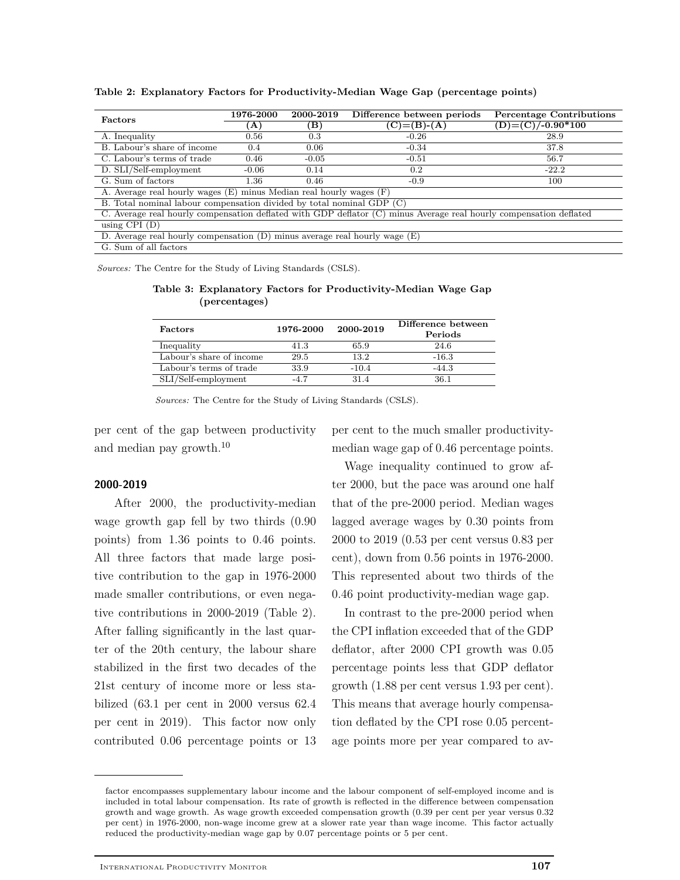| <b>Factors</b>                                                                                                     | 1976-2000 | 2000-2019 | Difference between periods | <b>Percentage Contributions</b> |  |  |  |  |
|--------------------------------------------------------------------------------------------------------------------|-----------|-----------|----------------------------|---------------------------------|--|--|--|--|
|                                                                                                                    | $\bf{A}$  | (B)       | $(C)= (B)-(A)$             | $(D) = (C)/-0.90*100$           |  |  |  |  |
| A. Inequality                                                                                                      | 0.56      | 0.3       | $-0.26$                    | 28.9                            |  |  |  |  |
| B. Labour's share of income                                                                                        | 0.4       | 0.06      | $-0.34$                    | 37.8                            |  |  |  |  |
| C. Labour's terms of trade                                                                                         | 0.46      | $-0.05$   | $-0.51$                    | 56.7                            |  |  |  |  |
| D. SLI/Self-employment                                                                                             | $-0.06$   | 0.14      | 0.2                        | $-22.2$                         |  |  |  |  |
| G. Sum of factors                                                                                                  | 1.36      | 0.46      | $-0.9$                     | 100                             |  |  |  |  |
| A. Average real hourly wages (E) minus Median real hourly wages (F)                                                |           |           |                            |                                 |  |  |  |  |
| B. Total nominal labour compensation divided by total nominal GDP (C)                                              |           |           |                            |                                 |  |  |  |  |
| C. Average real hourly compensation deflated with GDP deflator (C) minus Average real hourly compensation deflated |           |           |                            |                                 |  |  |  |  |
| using $CPI$ $(D)$                                                                                                  |           |           |                            |                                 |  |  |  |  |
| D. Average real hourly compensation $(D)$ minus average real hourly wage $(E)$                                     |           |           |                            |                                 |  |  |  |  |
| G. Sum of all factors                                                                                              |           |           |                            |                                 |  |  |  |  |

**Table 2: Explanatory Factors for Productivity-Median Wage Gap (percentage points)**

*Sources:* The Centre for the Study of Living Standards (CSLS).

**Table 3: Explanatory Factors for Productivity-Median Wage Gap (percentages)**

| Factors                  | 1976-2000 | 2000-2019 | Difference between<br>Periods |
|--------------------------|-----------|-----------|-------------------------------|
| Inequality               | 41.3      | 65.9      | 24.6                          |
| Labour's share of income | 29.5      | 13.2      | $-16.3$                       |
| Labour's terms of trade  | 33.9      | $-10.4$   | $-44.3$                       |
| SLI/Self-employment      | $-4.7$    | 31.4      | 36.1                          |

*Sources:* The Centre for the Study of Living Standards (CSLS).

per cent of the gap between productivity and median pay growth.<sup>10</sup>

## per cent to the much smaller productivitymedian wage gap of 0.46 percentage points.

#### **2000-2019**

After 2000, the productivity-median wage growth gap fell by two thirds (0.90 points) from 1.36 points to 0.46 points. All three factors that made large positive contribution to the gap in 1976-2000 made smaller contributions, or even negative contributions in 2000-2019 (Table 2). After falling significantly in the last quarter of the 20th century, the labour share stabilized in the first two decades of the 21st century of income more or less stabilized (63.1 per cent in 2000 versus 62.4 per cent in 2019). This factor now only contributed 0.06 percentage points or 13

Wage inequality continued to grow after 2000, but the pace was around one half that of the pre-2000 period. Median wages lagged average wages by 0.30 points from 2000 to 2019 (0.53 per cent versus 0.83 per cent), down from 0.56 points in 1976-2000. This represented about two thirds of the 0.46 point productivity-median wage gap.

In contrast to the pre-2000 period when the CPI inflation exceeded that of the GDP deflator, after 2000 CPI growth was 0.05 percentage points less that GDP deflator growth (1.88 per cent versus 1.93 per cent). This means that average hourly compensation deflated by the CPI rose 0.05 percentage points more per year compared to av-

factor encompasses supplementary labour income and the labour component of self-employed income and is included in total labour compensation. Its rate of growth is reflected in the difference between compensation growth and wage growth. As wage growth exceeded compensation growth (0.39 per cent per year versus 0.32 per cent) in 1976-2000, non-wage income grew at a slower rate year than wage income. This factor actually reduced the productivity-median wage gap by 0.07 percentage points or 5 per cent.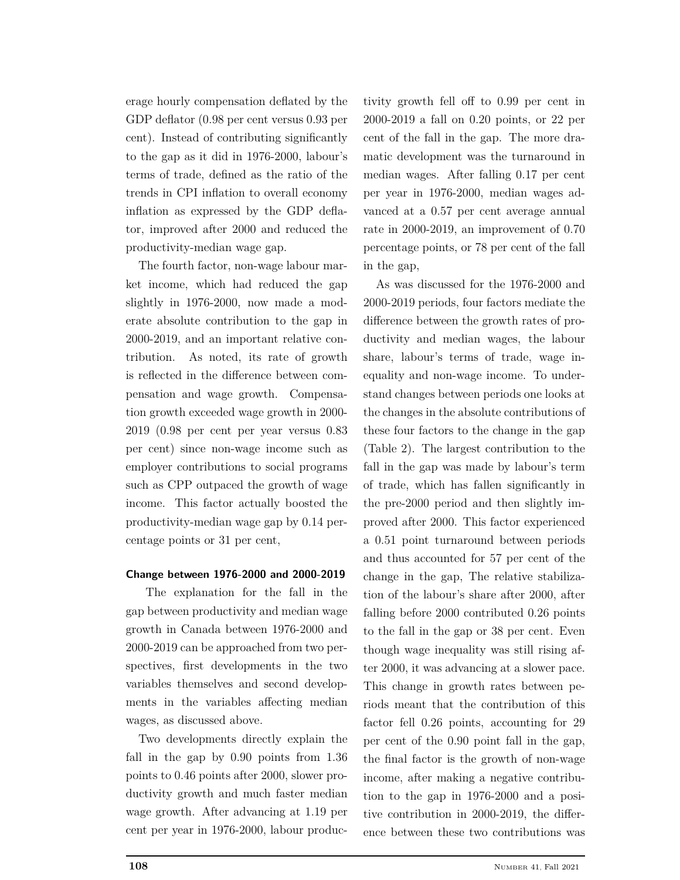erage hourly compensation deflated by the GDP deflator (0.98 per cent versus 0.93 per cent). Instead of contributing significantly to the gap as it did in 1976-2000, labour's terms of trade, defined as the ratio of the trends in CPI inflation to overall economy inflation as expressed by the GDP deflator, improved after 2000 and reduced the productivity-median wage gap.

The fourth factor, non-wage labour market income, which had reduced the gap slightly in 1976-2000, now made a moderate absolute contribution to the gap in 2000-2019, and an important relative contribution. As noted, its rate of growth is reflected in the difference between compensation and wage growth. Compensation growth exceeded wage growth in 2000- 2019 (0.98 per cent per year versus 0.83 per cent) since non-wage income such as employer contributions to social programs such as CPP outpaced the growth of wage income. This factor actually boosted the productivity-median wage gap by 0.14 percentage points or 31 per cent,

#### **Change between 1976-2000 and 2000-2019**

The explanation for the fall in the gap between productivity and median wage growth in Canada between 1976-2000 and 2000-2019 can be approached from two perspectives, first developments in the two variables themselves and second developments in the variables affecting median wages, as discussed above.

Two developments directly explain the fall in the gap by 0.90 points from 1.36 points to 0.46 points after 2000, slower productivity growth and much faster median wage growth. After advancing at 1.19 per cent per year in 1976-2000, labour produc-

tivity growth fell off to 0.99 per cent in 2000-2019 a fall on 0.20 points, or 22 per cent of the fall in the gap. The more dramatic development was the turnaround in median wages. After falling 0.17 per cent per year in 1976-2000, median wages advanced at a 0.57 per cent average annual rate in 2000-2019, an improvement of 0.70 percentage points, or 78 per cent of the fall in the gap,

As was discussed for the 1976-2000 and 2000-2019 periods, four factors mediate the difference between the growth rates of productivity and median wages, the labour share, labour's terms of trade, wage inequality and non-wage income. To understand changes between periods one looks at the changes in the absolute contributions of these four factors to the change in the gap (Table 2). The largest contribution to the fall in the gap was made by labour's term of trade, which has fallen significantly in the pre-2000 period and then slightly improved after 2000. This factor experienced a 0.51 point turnaround between periods and thus accounted for 57 per cent of the change in the gap, The relative stabilization of the labour's share after 2000, after falling before 2000 contributed 0.26 points to the fall in the gap or 38 per cent. Even though wage inequality was still rising after 2000, it was advancing at a slower pace. This change in growth rates between periods meant that the contribution of this factor fell 0.26 points, accounting for 29 per cent of the 0.90 point fall in the gap, the final factor is the growth of non-wage income, after making a negative contribution to the gap in 1976-2000 and a positive contribution in 2000-2019, the difference between these two contributions was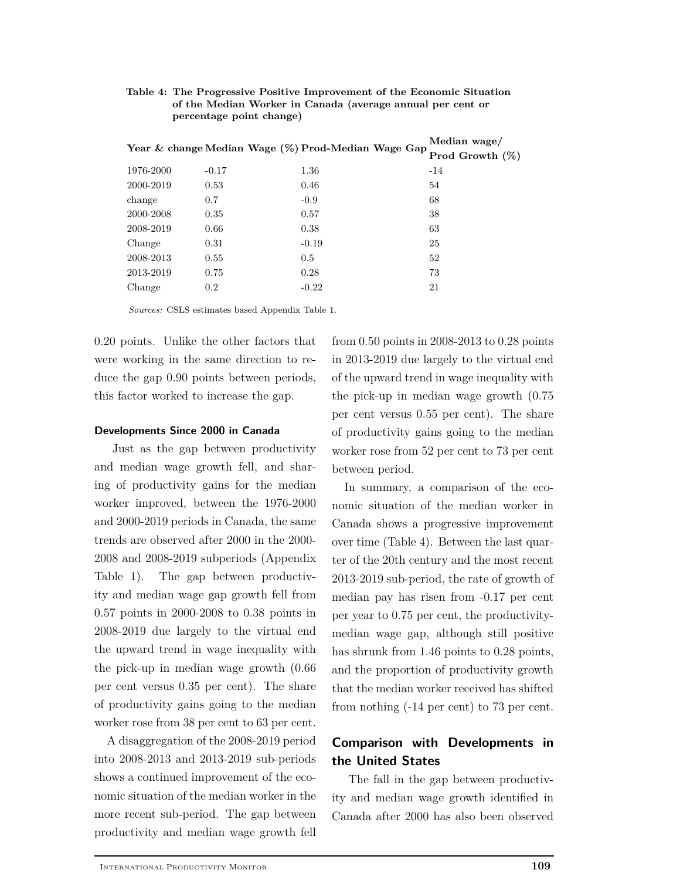| Table 4: The Progressive Positive Improvement of the Economic Situation |
|-------------------------------------------------------------------------|
| of the Median Worker in Canada (average annual per cent or              |
| percentage point change)                                                |

|           |         | Year & change Median Wage (%) Prod-Median Wage Gap | Median wage/       |  |  |
|-----------|---------|----------------------------------------------------|--------------------|--|--|
|           |         |                                                    | Prod Growth $(\%)$ |  |  |
| 1976-2000 | $-0.17$ | 1.36                                               | $-14$              |  |  |
| 2000-2019 | 0.53    | 0.46                                               | 54                 |  |  |
| change    | 0.7     | $-0.9$                                             | 68                 |  |  |
| 2000-2008 | 0.35    | 0.57                                               | 38                 |  |  |
| 2008-2019 | 0.66    | 0.38                                               | 63                 |  |  |
| Change    | 0.31    | $-0.19$                                            | 25                 |  |  |
| 2008-2013 | 0.55    | 0.5                                                | 52                 |  |  |
| 2013-2019 | 0.75    | 0.28                                               | 73                 |  |  |
| Change    | 0.2     | $-0.22$                                            | 21                 |  |  |

*Sources:* CSLS estimates based Appendix Table 1.

0.20 points. Unlike the other factors that were working in the same direction to reduce the gap 0.90 points between periods, this factor worked to increase the gap.

#### **Developments Since 2000 in Canada**

Just as the gap between productivity and median wage growth fell, and sharing of productivity gains for the median worker improved, between the 1976-2000 and 2000-2019 periods in Canada, the same trends are observed after 2000 in the 2000- 2008 and 2008-2019 subperiods (Appendix Table 1). The gap between productivity and median wage gap growth fell from 0.57 points in 2000-2008 to 0.38 points in 2008-2019 due largely to the virtual end the upward trend in wage inequality with the pick-up in median wage growth (0.66 per cent versus 0.35 per cent). The share of productivity gains going to the median worker rose from 38 per cent to 63 per cent.

A disaggregation of the 2008-2019 period into 2008-2013 and 2013-2019 sub-periods shows a continued improvement of the economic situation of the median worker in the more recent sub-period. The gap between productivity and median wage growth fell from 0.50 points in 2008-2013 to 0.28 points in 2013-2019 due largely to the virtual end of the upward trend in wage inequality with the pick-up in median wage growth (0.75 per cent versus 0.55 per cent). The share of productivity gains going to the median worker rose from 52 per cent to 73 per cent between period.

In summary, a comparison of the economic situation of the median worker in Canada shows a progressive improvement over time (Table 4). Between the last quarter of the 20th century and the most recent 2013-2019 sub-period, the rate of growth of median pay has risen from -0.17 per cent per year to 0.75 per cent, the productivitymedian wage gap, although still positive has shrunk from 1.46 points to 0.28 points, and the proportion of productivity growth that the median worker received has shifted from nothing (-14 per cent) to 73 per cent.

## **Comparison with Developments in the United States**

The fall in the gap between productivity and median wage growth identified in Canada after 2000 has also been observed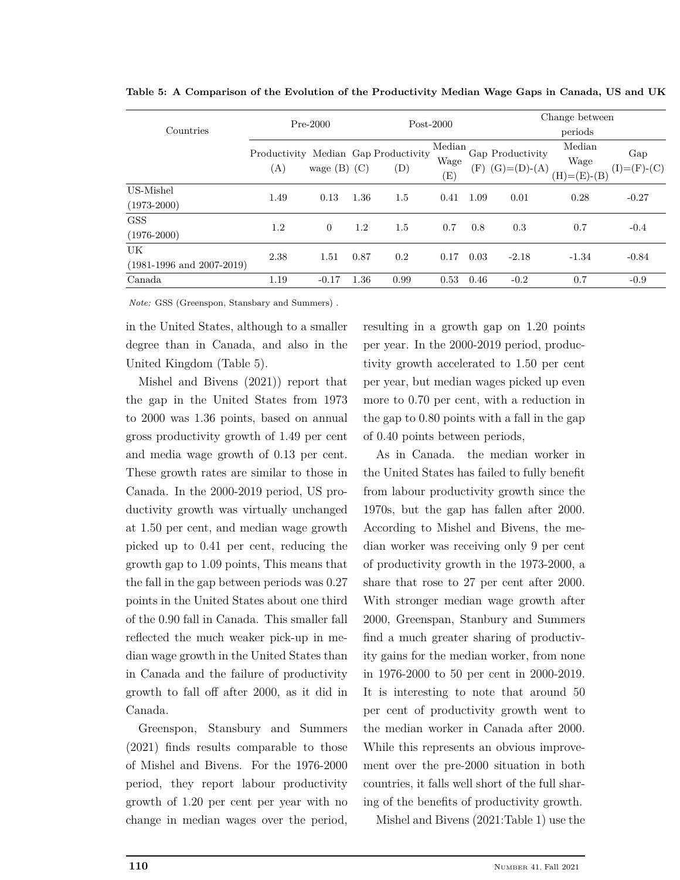|                                     | $Pre-2000$ |                  | $Post-2000$ |                                                                    | Change between        |      |                                   |                                 |                                               |
|-------------------------------------|------------|------------------|-------------|--------------------------------------------------------------------|-----------------------|------|-----------------------------------|---------------------------------|-----------------------------------------------|
| Countries                           |            |                  |             |                                                                    |                       |      | periods                           |                                 |                                               |
|                                     | (A)        | wage $(B)$ $(C)$ |             | Productivity Median Gap Productivity<br>$\left( \mathrm{D}\right)$ | Median<br>Wage<br>(E) | (F)  | Gap Productivity<br>$(G)=(D)-(A)$ | Median<br>Wage<br>$(H)=(E)-(B)$ | Gap<br>$(I)=\left( F\right) -\left( C\right)$ |
| US-Mishel<br>$(1973 - 2000)$        | 1.49       | 0.13             | 1.36        | 1.5                                                                | 0.41                  | 1.09 | 0.01                              | 0.28                            | $-0.27$                                       |
| <b>GSS</b><br>$(1976 - 2000)$       | 1.2        | $\theta$         | 1.2         | 1.5                                                                | 0.7                   | 0.8  | 0.3                               | 0.7                             | $-0.4$                                        |
| UK<br>$(1981-1996$ and $2007-2019)$ | 2.38       | 1.51             | 0.87        | 0.2                                                                | 0.17                  | 0.03 | $-2.18$                           | $-1.34$                         | $-0.84$                                       |
| Canada                              | 1.19       | $-0.17$          | 1.36        | 0.99                                                               | 0.53                  | 0.46 | $-0.2$                            | 0.7                             | $-0.9$                                        |

**Table 5: A Comparison of the Evolution of the Productivity Median Wage Gaps in Canada, US and UK**

*Note:* GSS (Greenspon, Stansbary and Summers) .

in the United States, although to a smaller degree than in Canada, and also in the United Kingdom (Table 5).

Mishel and Bivens (2021)) report that the gap in the United States from 1973 to 2000 was 1.36 points, based on annual gross productivity growth of 1.49 per cent and media wage growth of 0.13 per cent. These growth rates are similar to those in Canada. In the 2000-2019 period, US productivity growth was virtually unchanged at 1.50 per cent, and median wage growth picked up to 0.41 per cent, reducing the growth gap to 1.09 points, This means that the fall in the gap between periods was 0.27 points in the United States about one third of the 0.90 fall in Canada. This smaller fall reflected the much weaker pick-up in median wage growth in the United States than in Canada and the failure of productivity growth to fall off after 2000, as it did in Canada.

Greenspon, Stansbury and Summers (2021) finds results comparable to those of Mishel and Bivens. For the 1976-2000 period, they report labour productivity growth of 1.20 per cent per year with no change in median wages over the period, resulting in a growth gap on 1.20 points per year. In the 2000-2019 period, productivity growth accelerated to 1.50 per cent per year, but median wages picked up even more to 0.70 per cent, with a reduction in the gap to 0.80 points with a fall in the gap of 0.40 points between periods,

As in Canada. the median worker in the United States has failed to fully benefit from labour productivity growth since the 1970s, but the gap has fallen after 2000. According to Mishel and Bivens, the median worker was receiving only 9 per cent of productivity growth in the 1973-2000, a share that rose to 27 per cent after 2000. With stronger median wage growth after 2000, Greenspan, Stanbury and Summers find a much greater sharing of productivity gains for the median worker, from none in 1976-2000 to 50 per cent in 2000-2019. It is interesting to note that around 50 per cent of productivity growth went to the median worker in Canada after 2000. While this represents an obvious improvement over the pre-2000 situation in both countries, it falls well short of the full sharing of the benefits of productivity growth.

Mishel and Bivens (2021:Table 1) use the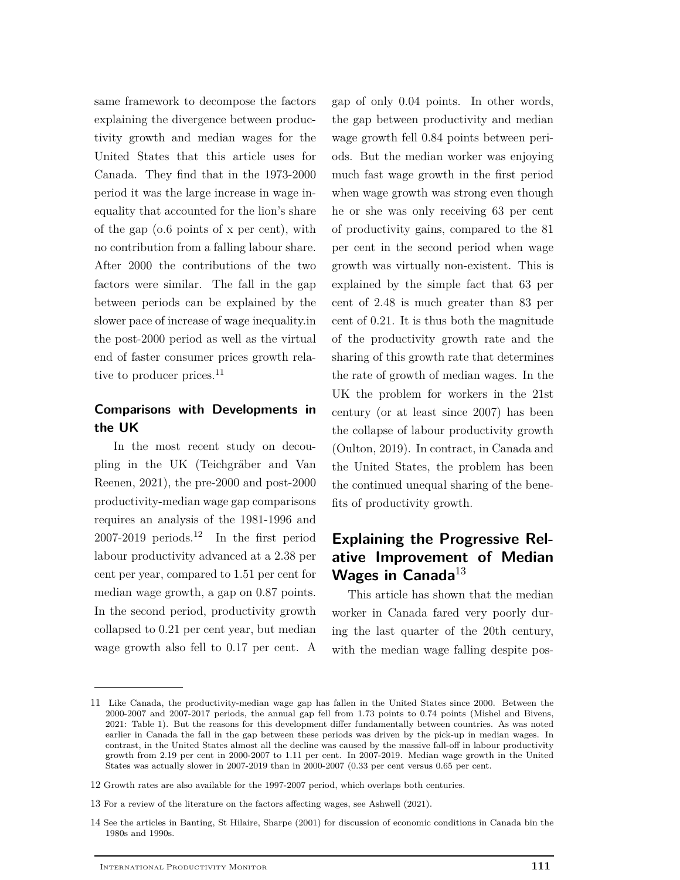same framework to decompose the factors explaining the divergence between productivity growth and median wages for the United States that this article uses for Canada. They find that in the 1973-2000 period it was the large increase in wage inequality that accounted for the lion's share of the gap (o.6 points of x per cent), with no contribution from a falling labour share. After 2000 the contributions of the two factors were similar. The fall in the gap between periods can be explained by the slower pace of increase of wage inequality.in the post-2000 period as well as the virtual end of faster consumer prices growth relative to producer prices. $^{11}$ 

## **Comparisons with Developments in the UK**

In the most recent study on decoupling in the UK (Teichgräber and Van Reenen, 2021), the pre-2000 and post-2000 productivity-median wage gap comparisons requires an analysis of the 1981-1996 and 2007-2019 periods.<sup>12</sup> In the first period labour productivity advanced at a 2.38 per cent per year, compared to 1.51 per cent for median wage growth, a gap on 0.87 points. In the second period, productivity growth collapsed to 0.21 per cent year, but median wage growth also fell to 0.17 per cent. A gap of only 0.04 points. In other words, the gap between productivity and median wage growth fell 0.84 points between periods. But the median worker was enjoying much fast wage growth in the first period when wage growth was strong even though he or she was only receiving 63 per cent of productivity gains, compared to the 81 per cent in the second period when wage growth was virtually non-existent. This is explained by the simple fact that 63 per cent of 2.48 is much greater than 83 per cent of 0.21. It is thus both the magnitude of the productivity growth rate and the sharing of this growth rate that determines the rate of growth of median wages. In the UK the problem for workers in the 21st century (or at least since 2007) has been the collapse of labour productivity growth (Oulton, 2019). In contract, in Canada and the United States, the problem has been the continued unequal sharing of the benefits of productivity growth.

# **Explaining the Progressive Relative Improvement of Median Wages in Canada**<sup>13</sup>

This article has shown that the median worker in Canada fared very poorly during the last quarter of the 20th century, with the median wage falling despite pos-

- 12 Growth rates are also available for the 1997-2007 period, which overlaps both centuries.
- 13 For a review of the literature on the factors affecting wages, see Ashwell (2021).
- 14 See the articles in Banting, St Hilaire, Sharpe (2001) for discussion of economic conditions in Canada bin the 1980s and 1990s.

<sup>11</sup> Like Canada, the productivity-median wage gap has fallen in the United States since 2000. Between the 2000-2007 and 2007-2017 periods, the annual gap fell from 1.73 points to 0.74 points (Mishel and Bivens, 2021: Table 1). But the reasons for this development differ fundamentally between countries. As was noted earlier in Canada the fall in the gap between these periods was driven by the pick-up in median wages. In contrast, in the United States almost all the decline was caused by the massive fall-off in labour productivity growth from 2.19 per cent in 2000-2007 to 1.11 per cent. In 2007-2019. Median wage growth in the United States was actually slower in 2007-2019 than in 2000-2007 (0.33 per cent versus 0.65 per cent.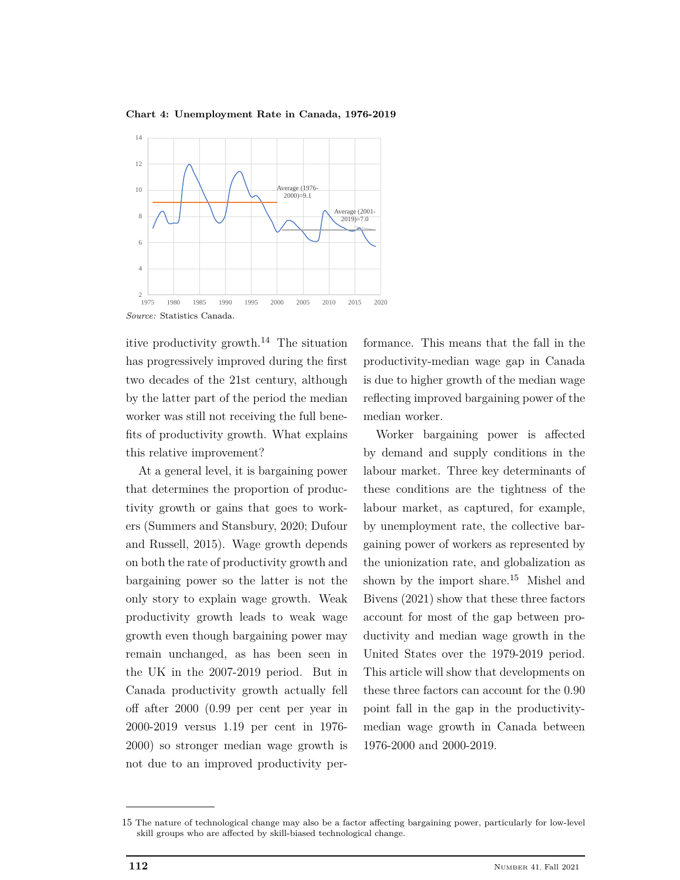**Chart 4: Unemployment Rate in Canada, 1976-2019**



itive productivity growth.<sup>14</sup> The situation has progressively improved during the first two decades of the 21st century, although by the latter part of the period the median worker was still not receiving the full benefits of productivity growth. What explains this relative improvement?

At a general level, it is bargaining power that determines the proportion of productivity growth or gains that goes to workers (Summers and Stansbury, 2020; Dufour and Russell, 2015). Wage growth depends on both the rate of productivity growth and bargaining power so the latter is not the only story to explain wage growth. Weak productivity growth leads to weak wage growth even though bargaining power may remain unchanged, as has been seen in the UK in the 2007-2019 period. But in Canada productivity growth actually fell off after 2000 (0.99 per cent per year in 2000-2019 versus 1.19 per cent in 1976- 2000) so stronger median wage growth is not due to an improved productivity per-

formance. This means that the fall in the productivity-median wage gap in Canada is due to higher growth of the median wage reflecting improved bargaining power of the median worker.

Worker bargaining power is affected by demand and supply conditions in the labour market. Three key determinants of these conditions are the tightness of the labour market, as captured, for example, by unemployment rate, the collective bargaining power of workers as represented by the unionization rate, and globalization as shown by the import share.<sup>15</sup> Mishel and Bivens (2021) show that these three factors account for most of the gap between productivity and median wage growth in the United States over the 1979-2019 period. This article will show that developments on these three factors can account for the 0.90 point fall in the gap in the productivitymedian wage growth in Canada between 1976-2000 and 2000-2019.

<sup>15</sup> The nature of technological change may also be a factor affecting bargaining power, particularly for low-level skill groups who are affected by skill-biased technological change.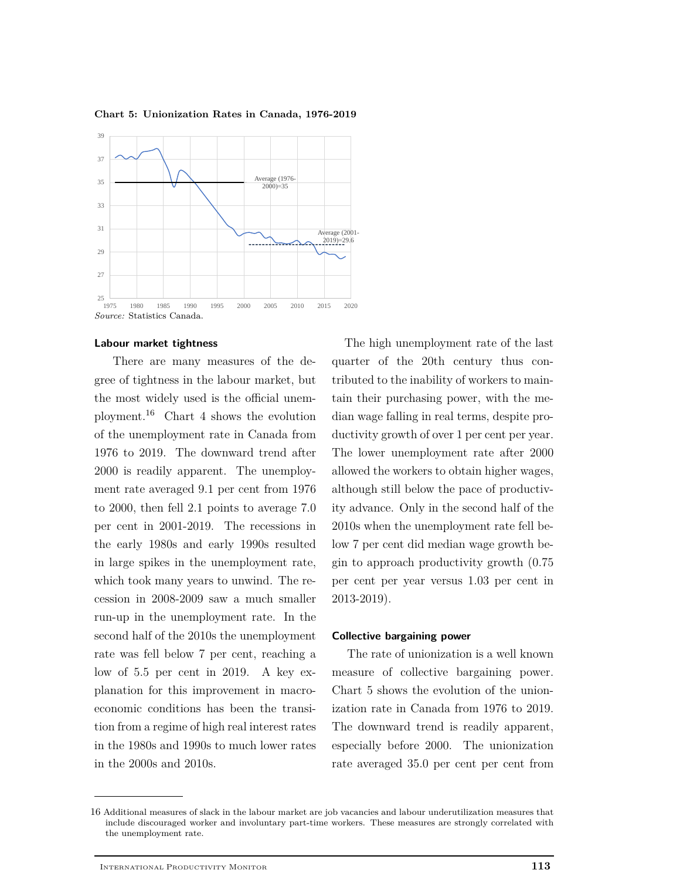

**Chart 5: Unionization Rates in Canada, 1976-2019**

There are many measures of the degree of tightness in the labour market, but the most widely used is the official unemployment.<sup>16</sup> Chart 4 shows the evolution of the unemployment rate in Canada from 1976 to 2019. The downward trend after 2000 is readily apparent. The unemployment rate averaged 9.1 per cent from 1976 to 2000, then fell 2.1 points to average 7.0 per cent in 2001-2019. The recessions in the early 1980s and early 1990s resulted in large spikes in the unemployment rate, which took many years to unwind. The recession in 2008-2009 saw a much smaller run-up in the unemployment rate. In the second half of the 2010s the unemployment rate was fell below 7 per cent, reaching a low of 5.5 per cent in 2019. A key explanation for this improvement in macroeconomic conditions has been the transition from a regime of high real interest rates in the 1980s and 1990s to much lower rates in the 2000s and 2010s.

The high unemployment rate of the last quarter of the 20th century thus contributed to the inability of workers to maintain their purchasing power, with the median wage falling in real terms, despite productivity growth of over 1 per cent per year. The lower unemployment rate after 2000 allowed the workers to obtain higher wages, although still below the pace of productivity advance. Only in the second half of the 2010s when the unemployment rate fell below 7 per cent did median wage growth begin to approach productivity growth (0.75 per cent per year versus 1.03 per cent in 2013-2019).

#### **Collective bargaining power**

The rate of unionization is a well known measure of collective bargaining power. Chart 5 shows the evolution of the unionization rate in Canada from 1976 to 2019. The downward trend is readily apparent, especially before 2000. The unionization rate averaged 35.0 per cent per cent from

**Labour market tightness**

<sup>16</sup> Additional measures of slack in the labour market are job vacancies and labour underutilization measures that include discouraged worker and involuntary part-time workers. These measures are strongly correlated with the unemployment rate.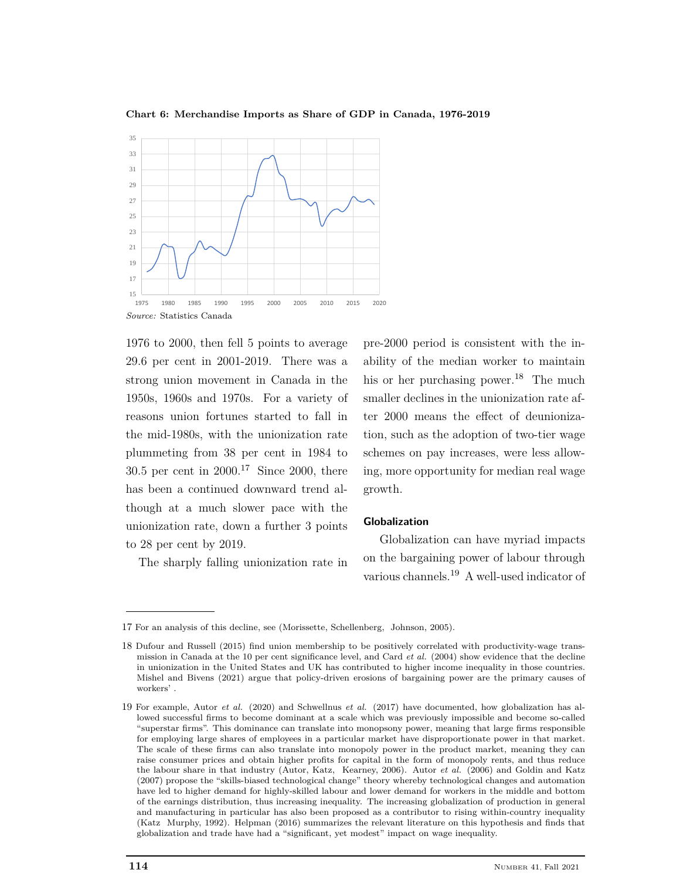

**Chart 6: Merchandise Imports as Share of GDP in Canada, 1976-2019**

1976 to 2000, then fell 5 points to average 29.6 per cent in 2001-2019. There was a strong union movement in Canada in the 1950s, 1960s and 1970s. For a variety of reasons union fortunes started to fall in the mid-1980s, with the unionization rate plummeting from 38 per cent in 1984 to 30.5 per cent in  $2000^{17}$  Since 2000, there has been a continued downward trend although at a much slower pace with the unionization rate, down a further 3 points to 28 per cent by 2019.

The sharply falling unionization rate in

pre-2000 period is consistent with the inability of the median worker to maintain his or her purchasing power.<sup>18</sup> The much smaller declines in the unionization rate after 2000 means the effect of deunionization, such as the adoption of two-tier wage schemes on pay increases, were less allowing, more opportunity for median real wage growth.

#### **Globalization**

Globalization can have myriad impacts on the bargaining power of labour through various channels.<sup>19</sup> A well-used indicator of

<sup>17</sup> For an analysis of this decline, see (Morissette, Schellenberg, Johnson, 2005).

<sup>18</sup> Dufour and Russell (2015) find union membership to be positively correlated with productivity-wage transmission in Canada at the 10 per cent significance level, and Card *et al.* (2004) show evidence that the decline in unionization in the United States and UK has contributed to higher income inequality in those countries. Mishel and Bivens (2021) argue that policy-driven erosions of bargaining power are the primary causes of workers' .

<sup>19</sup> For example, Autor *et al.* (2020) and Schwellnus *et al.* (2017) have documented, how globalization has allowed successful firms to become dominant at a scale which was previously impossible and become so-called "superstar firms". This dominance can translate into monopsony power, meaning that large firms responsible for employing large shares of employees in a particular market have disproportionate power in that market. The scale of these firms can also translate into monopoly power in the product market, meaning they can raise consumer prices and obtain higher profits for capital in the form of monopoly rents, and thus reduce the labour share in that industry (Autor, Katz, Kearney, 2006). Autor *et al.* (2006) and Goldin and Katz (2007) propose the "skills-biased technological change" theory whereby technological changes and automation have led to higher demand for highly-skilled labour and lower demand for workers in the middle and bottom of the earnings distribution, thus increasing inequality. The increasing globalization of production in general and manufacturing in particular has also been proposed as a contributor to rising within-country inequality (Katz Murphy, 1992). Helpman (2016) summarizes the relevant literature on this hypothesis and finds that globalization and trade have had a "significant, yet modest" impact on wage inequality.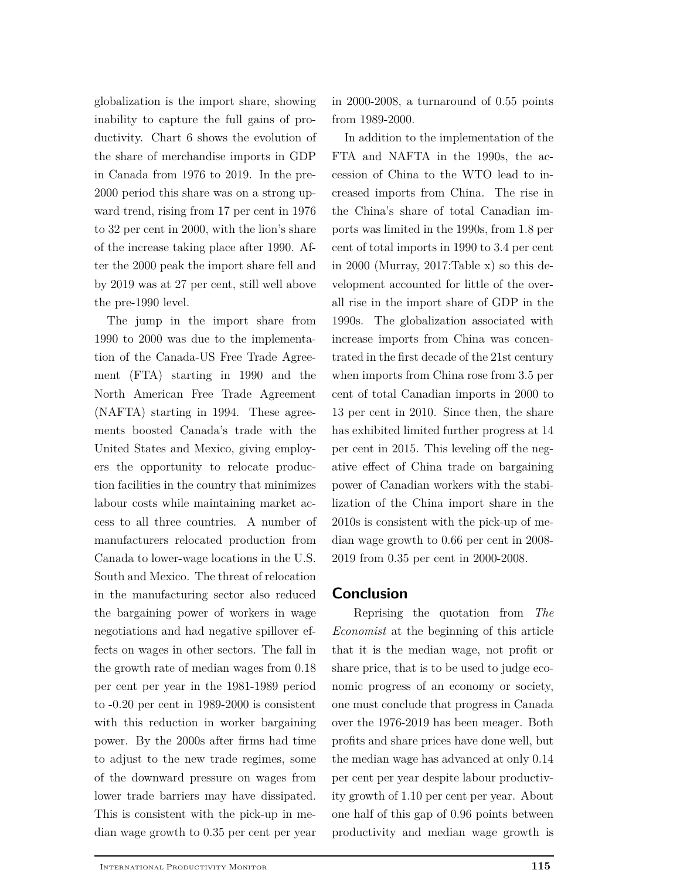globalization is the import share, showing inability to capture the full gains of productivity. Chart 6 shows the evolution of the share of merchandise imports in GDP in Canada from 1976 to 2019. In the pre-2000 period this share was on a strong upward trend, rising from 17 per cent in 1976 to 32 per cent in 2000, with the lion's share of the increase taking place after 1990. After the 2000 peak the import share fell and by 2019 was at 27 per cent, still well above the pre-1990 level.

The jump in the import share from 1990 to 2000 was due to the implementation of the Canada-US Free Trade Agreement (FTA) starting in 1990 and the North American Free Trade Agreement (NAFTA) starting in 1994. These agreements boosted Canada's trade with the United States and Mexico, giving employers the opportunity to relocate production facilities in the country that minimizes labour costs while maintaining market access to all three countries. A number of manufacturers relocated production from Canada to lower-wage locations in the U.S. South and Mexico. The threat of relocation in the manufacturing sector also reduced the bargaining power of workers in wage negotiations and had negative spillover effects on wages in other sectors. The fall in the growth rate of median wages from 0.18 per cent per year in the 1981-1989 period to -0.20 per cent in 1989-2000 is consistent with this reduction in worker bargaining power. By the 2000s after firms had time to adjust to the new trade regimes, some of the downward pressure on wages from lower trade barriers may have dissipated. This is consistent with the pick-up in median wage growth to 0.35 per cent per year in 2000-2008, a turnaround of 0.55 points from 1989-2000.

In addition to the implementation of the FTA and NAFTA in the 1990s, the accession of China to the WTO lead to increased imports from China. The rise in the China's share of total Canadian imports was limited in the 1990s, from 1.8 per cent of total imports in 1990 to 3.4 per cent in 2000 (Murray, 2017:Table x) so this development accounted for little of the overall rise in the import share of GDP in the 1990s. The globalization associated with increase imports from China was concentrated in the first decade of the 21st century when imports from China rose from 3.5 per cent of total Canadian imports in 2000 to 13 per cent in 2010. Since then, the share has exhibited limited further progress at 14 per cent in 2015. This leveling off the negative effect of China trade on bargaining power of Canadian workers with the stabilization of the China import share in the 2010s is consistent with the pick-up of median wage growth to 0.66 per cent in 2008- 2019 from 0.35 per cent in 2000-2008.

### **Conclusion**

Reprising the quotation from *The Economist* at the beginning of this article that it is the median wage, not profit or share price, that is to be used to judge economic progress of an economy or society, one must conclude that progress in Canada over the 1976-2019 has been meager. Both profits and share prices have done well, but the median wage has advanced at only 0.14 per cent per year despite labour productivity growth of 1.10 per cent per year. About one half of this gap of 0.96 points between productivity and median wage growth is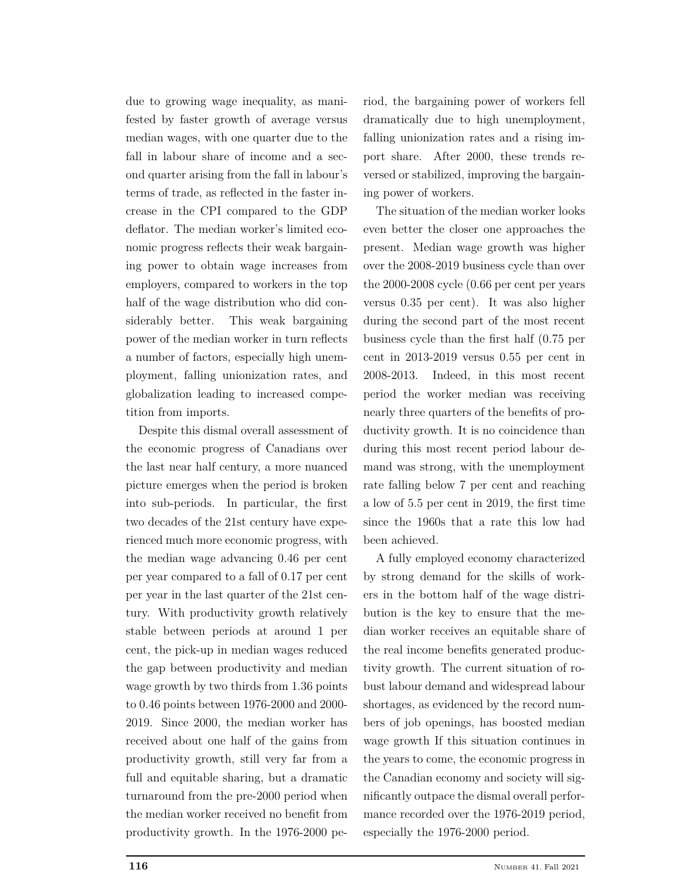due to growing wage inequality, as manifested by faster growth of average versus median wages, with one quarter due to the fall in labour share of income and a second quarter arising from the fall in labour's terms of trade, as reflected in the faster increase in the CPI compared to the GDP deflator. The median worker's limited economic progress reflects their weak bargaining power to obtain wage increases from employers, compared to workers in the top half of the wage distribution who did considerably better. This weak bargaining power of the median worker in turn reflects a number of factors, especially high unemployment, falling unionization rates, and globalization leading to increased competition from imports.

Despite this dismal overall assessment of the economic progress of Canadians over the last near half century, a more nuanced picture emerges when the period is broken into sub-periods. In particular, the first two decades of the 21st century have experienced much more economic progress, with the median wage advancing 0.46 per cent per year compared to a fall of 0.17 per cent per year in the last quarter of the 21st century. With productivity growth relatively stable between periods at around 1 per cent, the pick-up in median wages reduced the gap between productivity and median wage growth by two thirds from 1.36 points to 0.46 points between 1976-2000 and 2000- 2019. Since 2000, the median worker has received about one half of the gains from productivity growth, still very far from a full and equitable sharing, but a dramatic turnaround from the pre-2000 period when the median worker received no benefit from productivity growth. In the 1976-2000 period, the bargaining power of workers fell dramatically due to high unemployment, falling unionization rates and a rising import share. After 2000, these trends reversed or stabilized, improving the bargaining power of workers.

The situation of the median worker looks even better the closer one approaches the present. Median wage growth was higher over the 2008-2019 business cycle than over the 2000-2008 cycle (0.66 per cent per years versus 0.35 per cent). It was also higher during the second part of the most recent business cycle than the first half (0.75 per cent in 2013-2019 versus 0.55 per cent in 2008-2013. Indeed, in this most recent period the worker median was receiving nearly three quarters of the benefits of productivity growth. It is no coincidence than during this most recent period labour demand was strong, with the unemployment rate falling below 7 per cent and reaching a low of 5.5 per cent in 2019, the first time since the 1960s that a rate this low had been achieved.

A fully employed economy characterized by strong demand for the skills of workers in the bottom half of the wage distribution is the key to ensure that the median worker receives an equitable share of the real income benefits generated productivity growth. The current situation of robust labour demand and widespread labour shortages, as evidenced by the record numbers of job openings, has boosted median wage growth If this situation continues in the years to come, the economic progress in the Canadian economy and society will significantly outpace the dismal overall performance recorded over the 1976-2019 period, especially the 1976-2000 period.